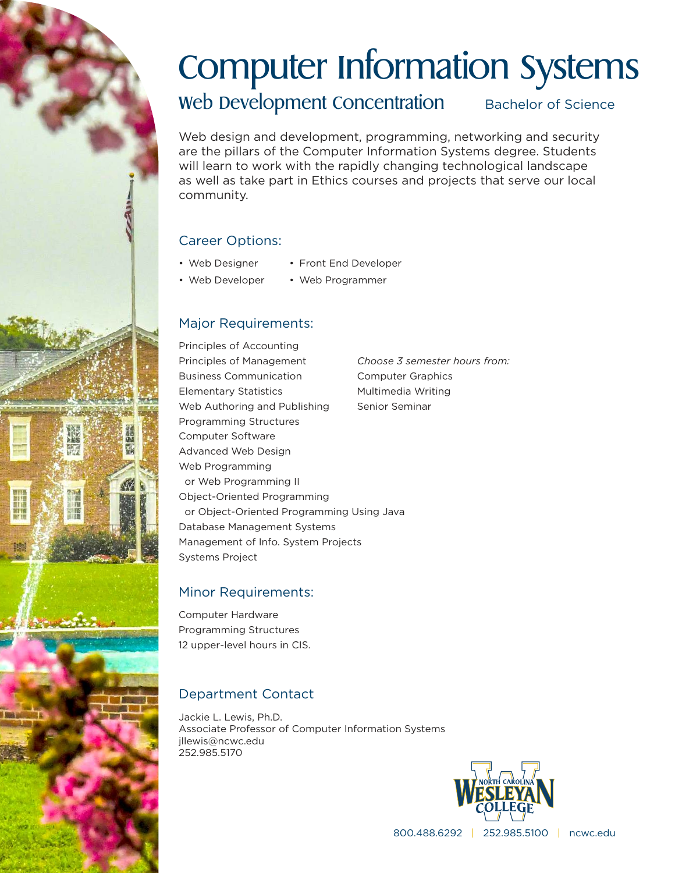# Computer Information Systems

Web Development Concentration Bachelor of Science

Web design and development, programming, networking and security are the pillars of the Computer Information Systems degree. Students will learn to work with the rapidly changing technological landscape as well as take part in Ethics courses and projects that serve our local community.

# Career Options:

- Web Designer • Front End Developer
- Web Developer
- Web Programmer

# Major Requirements:

Principles of Accounting Principles of Management Business Communication Elementary Statistics Web Authoring and Publishing Programming Structures Computer Software Advanced Web Design Web Programming or Web Programming II Object-Oriented Programming or Object-Oriented Programming Using Java Database Management Systems Management of Info. System Projects Systems Project *Choose 3 semester hours from:* Computer Graphics Multimedia Writing Senior Seminar

### Minor Requirements:

Computer Hardware Programming Structures 12 upper-level hours in CIS.

# Department Contact

Jackie L. Lewis, Ph.D. Associate Professor of Computer Information Systems jllewis@ncwc.edu 252.985.5170



800.488.6292 | 252.985.5100 | ncwc.edu